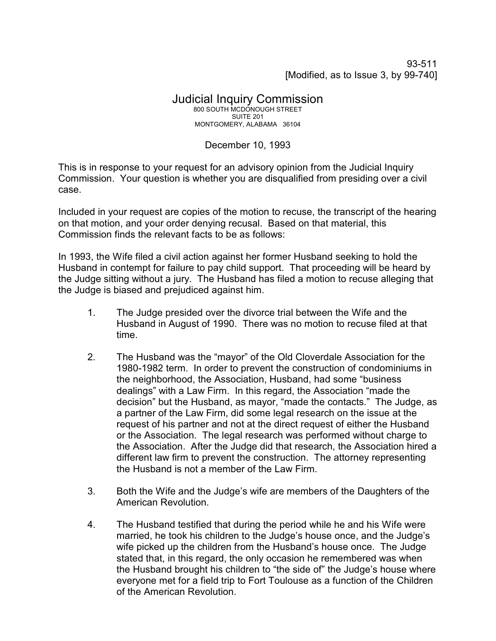93-511 [Modified, as to Issue 3, by 99-740]

## Judicial Inquiry Commission 800 SOUTH MCDONOUGH STREET SUITE 201 MONTGOMERY, ALABAMA 36104

## December 10, 1993

This is in response to your request for an advisory opinion from the Judicial Inquiry Commission. Your question is whether you are disqualified from presiding over a civil case.

Included in your request are copies of the motion to recuse, the transcript of the hearing on that motion, and your order denying recusal. Based on that material, this Commission finds the relevant facts to be as follows:

In 1993, the Wife filed a civil action against her former Husband seeking to hold the Husband in contempt for failure to pay child support. That proceeding will be heard by the Judge sitting without a jury. The Husband has filed a motion to recuse alleging that the Judge is biased and prejudiced against him.

- 1. The Judge presided over the divorce trial between the Wife and the Husband in August of 1990. There was no motion to recuse filed at that time.
- 2. The Husband was the "mayor" of the Old Cloverdale Association for the 1980-1982 term. In order to prevent the construction of condominiums in the neighborhood, the Association, Husband, had some "business dealings" with a Law Firm. In this regard, the Association "made the decision" but the Husband, as mayor, "made the contacts." The Judge, as a partner of the Law Firm, did some legal research on the issue at the request of his partner and not at the direct request of either the Husband or the Association. The legal research was performed without charge to the Association. After the Judge did that research, the Association hired a different law firm to prevent the construction. The attorney representing the Husband is not a member of the Law Firm.
- 3. Both the Wife and the Judge's wife are members of the Daughters of the American Revolution.
- 4. The Husband testified that during the period while he and his Wife were married, he took his children to the Judge's house once, and the Judge's wife picked up the children from the Husband's house once. The Judge stated that, in this regard, the only occasion he remembered was when the Husband brought his children to "the side of" the Judge's house where everyone met for a field trip to Fort Toulouse as a function of the Children of the American Revolution.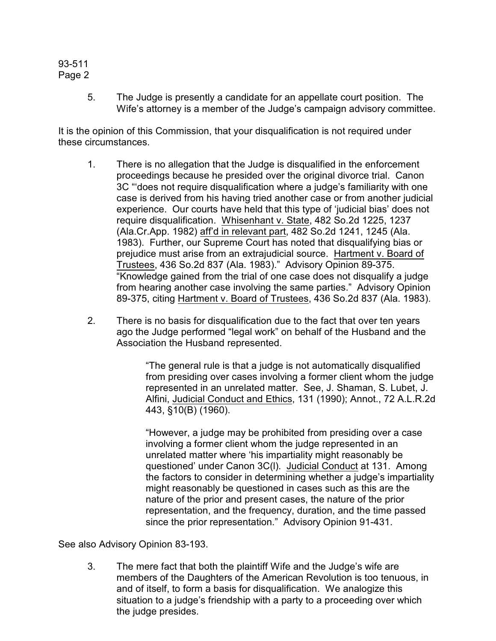## 93-511 Page 2

5. The Judge is presently a candidate for an appellate court position. The Wife's attorney is a member of the Judge's campaign advisory committee.

It is the opinion of this Commission, that your disqualification is not required under these circumstances.

- 1. There is no allegation that the Judge is disqualified in the enforcement proceedings because he presided over the original divorce trial. Canon 3C "'does not require disqualification where a judge's familiarity with one case is derived from his having tried another case or from another judicial experience. Our courts have held that this type of 'judicial bias' does not require disqualification. Whisenhant v. State, 482 So.2d 1225, 1237 (Ala.Cr.App. 1982) aff'd in relevant part, 482 So.2d 1241, 1245 (Ala. 1983). Further, our Supreme Court has noted that disqualifying bias or prejudice must arise from an extrajudicial source. Hartment v. Board of Trustees, 436 So.2d 837 (Ala. 1983)." Advisory Opinion 89-375. "Knowledge gained from the trial of one case does not disqualify a judge from hearing another case involving the same parties." Advisory Opinion 89-375, citing Hartment v. Board of Trustees, 436 So.2d 837 (Ala. 1983).
- 2. There is no basis for disqualification due to the fact that over ten years ago the Judge performed "legal work" on behalf of the Husband and the Association the Husband represented.

"The general rule is that a judge is not automatically disqualified from presiding over cases involving a former client whom the judge represented in an unrelated matter. See, J. Shaman, S. Lubet, J. Alfini, Judicial Conduct and Ethics, 131 (1990); Annot., 72 A.L.R.2d 443, §10(B) (1960).

"However, a judge may be prohibited from presiding over a case involving a former client whom the judge represented in an unrelated matter where 'his impartiality might reasonably be questioned' under Canon 3C(l). Judicial Conduct at 131. Among the factors to consider in determining whether a judge's impartiality might reasonably be questioned in cases such as this are the nature of the prior and present cases, the nature of the prior representation, and the frequency, duration, and the time passed since the prior representation." Advisory Opinion 91-431.

See also Advisory Opinion 83-193.

3. The mere fact that both the plaintiff Wife and the Judge's wife are members of the Daughters of the American Revolution is too tenuous, in and of itself, to form a basis for disqualification. We analogize this situation to a judge's friendship with a party to a proceeding over which the judge presides.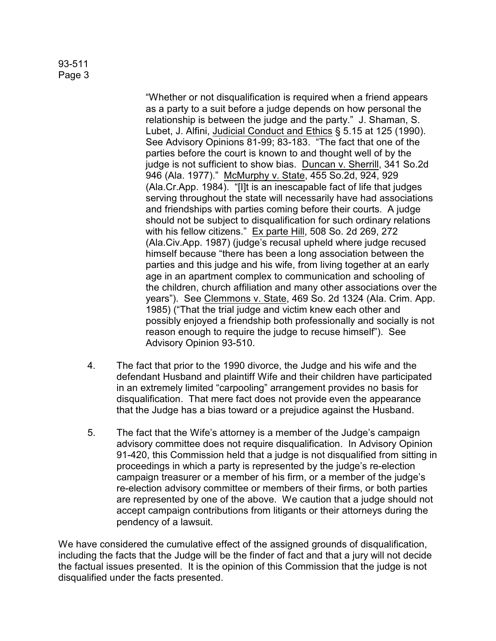## 93-511 Page 3

"Whether or not disqualification is required when a friend appears as a party to a suit before a judge depends on how personal the relationship is between the judge and the party." J. Shaman, S. Lubet, J. Alfini, Judicial Conduct and Ethics § 5.15 at 125 (1990). See Advisory Opinions 81-99; 83-183. "The fact that one of the parties before the court is known to and thought well of by the judge is not sufficient to show bias. Duncan v. Sherrill, 341 So.2d 946 (Ala. 1977)." McMurphy v. State, 455 So.2d, 924, 929 (Ala.Cr.App. 1984). "[I]t is an inescapable fact of life that judges serving throughout the state will necessarily have had associations and friendships with parties coming before their courts. A judge should not be subject to disqualification for such ordinary relations with his fellow citizens." Ex parte Hill, 508 So. 2d 269, 272 (Ala.Civ.App. 1987) (judge's recusal upheld where judge recused himself because "there has been a long association between the parties and this judge and his wife, from living together at an early age in an apartment complex to communication and schooling of the children, church affiliation and many other associations over the years"). See Clemmons v. State, 469 So. 2d 1324 (Ala. Crim. App. 1985) ("That the trial judge and victim knew each other and possibly enjoyed a friendship both professionally and socially is not reason enough to require the judge to recuse himself"). See Advisory Opinion 93-510.

- 4. The fact that prior to the 1990 divorce, the Judge and his wife and the defendant Husband and plaintiff Wife and their children have participated in an extremely limited "carpooling" arrangement provides no basis for disqualification. That mere fact does not provide even the appearance that the Judge has a bias toward or a prejudice against the Husband.
- 5. The fact that the Wife's attorney is a member of the Judge's campaign advisory committee does not require disqualification. In Advisory Opinion 91-420, this Commission held that a judge is not disqualified from sitting in proceedings in which a party is represented by the judge's re-election campaign treasurer or a member of his firm, or a member of the judge's re-election advisory committee or members of their firms, or both parties are represented by one of the above. We caution that a judge should not accept campaign contributions from litigants or their attorneys during the pendency of a lawsuit.

We have considered the cumulative effect of the assigned grounds of disqualification, including the facts that the Judge will be the finder of fact and that a jury will not decide the factual issues presented. It is the opinion of this Commission that the judge is not disqualified under the facts presented.